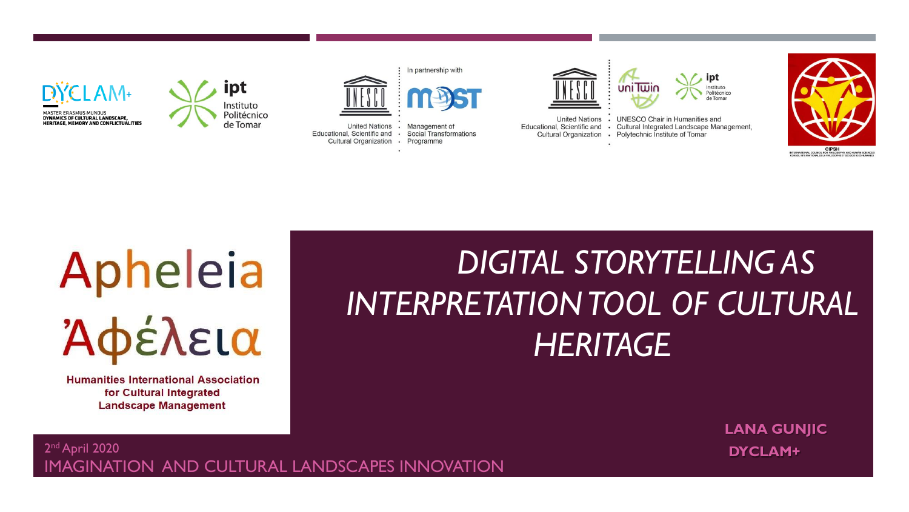





United Nations • Management of Educational, Scientific and · Social Transformations Cultural Organization · Programme



**United Nations**  $\ddot{\phantom{a}}$ Educational, Scientific and  $\bullet$ 



**UNESCO Chair in Humanities and** Cultural Integrated Landscape Management, Cultural Organization . Polytechnic Institute of Tomar



# Apheleia Άφέλεια

**Humanities International Association** for Cultural Integrated **Landscape Management** 

## *DIGITAL STORYTELLING AS INTERPRETATION TOOL OF CULTURAL HERITAGE*

**LANA GUNJIC**

#### 2 **DYCLAM+** ndApril 2020 IMAGINATION AND CULTURAL LANDSCAPES INNOVATION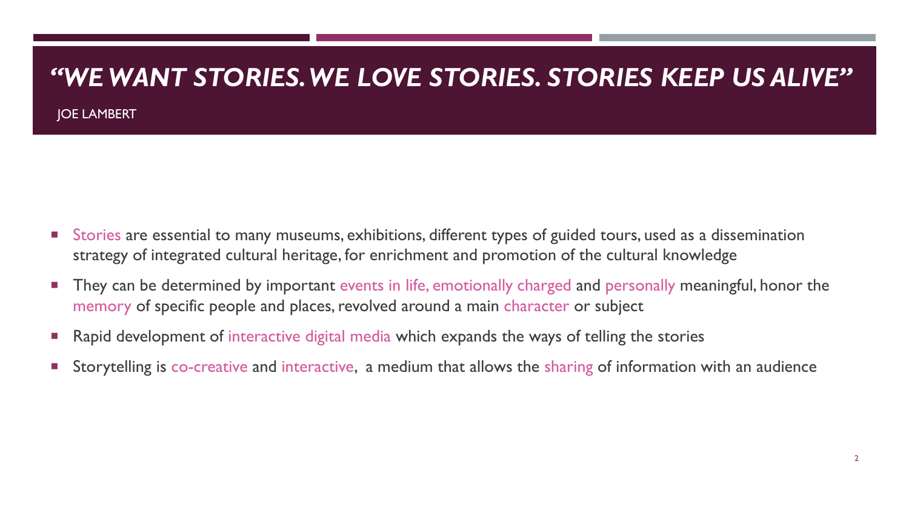#### *"WE WANT STORIES. WE LOVE STORIES. STORIES KEEP US ALIVE"*

JOE LAMBERT

- Stories are essential to many museums, exhibitions, different types of guided tours, used as a dissemination strategy of integrated cultural heritage, for enrichment and promotion of the cultural knowledge
- They can be determined by important events in life, emotionally charged and personally meaningful, honor the memory of specific people and places, revolved around a main character or subject
- Rapid development of interactive digital media which expands the ways of telling the stories
- Storytelling is co-creative and interactive, a medium that allows the sharing of information with an audience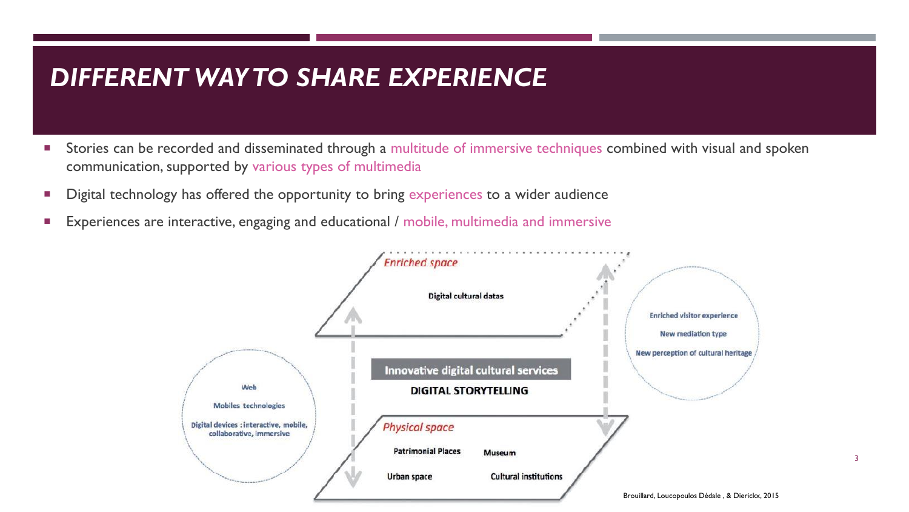#### *DIFFERENT WAY TO SHARE EXPERIENCE*

- Stories can be recorded and disseminated through a multitude of immersive techniques combined with visual and spoken communication, supported by various types of multimedia
- Digital technology has offered the opportunity to bring experiences to a wider audience
- **Experiences are interactive, engaging and educational / mobile, multimedia and immersive**



3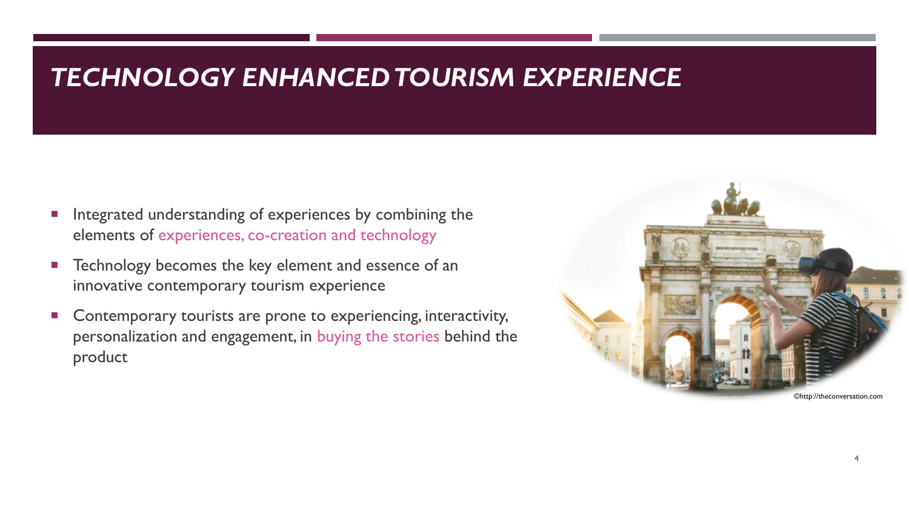#### *TECHNOLOGY ENHANCED TOURISM EXPERIENCE*

- Integrated understanding of experiences by combining the elements of experiences, co-creation and technology
- **Technology becomes the key element and essence of an** innovative contemporary tourism experience
- Contemporary tourists are prone to experiencing, interactivity, personalization and engagement, in buying the stories behind the product

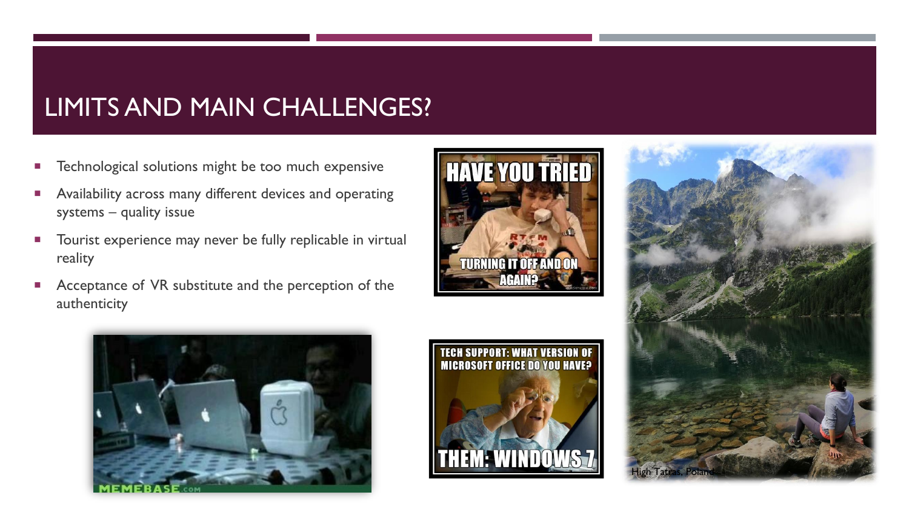## LIMITS AND MAIN CHALLENGES?

- Technological solutions might be too much expensive
- Availability across many different devices and operating systems – quality issue
- **Tourist experience may never be fully replicable in virtual** reality
- Acceptance of VR substitute and the perception of the authenticity







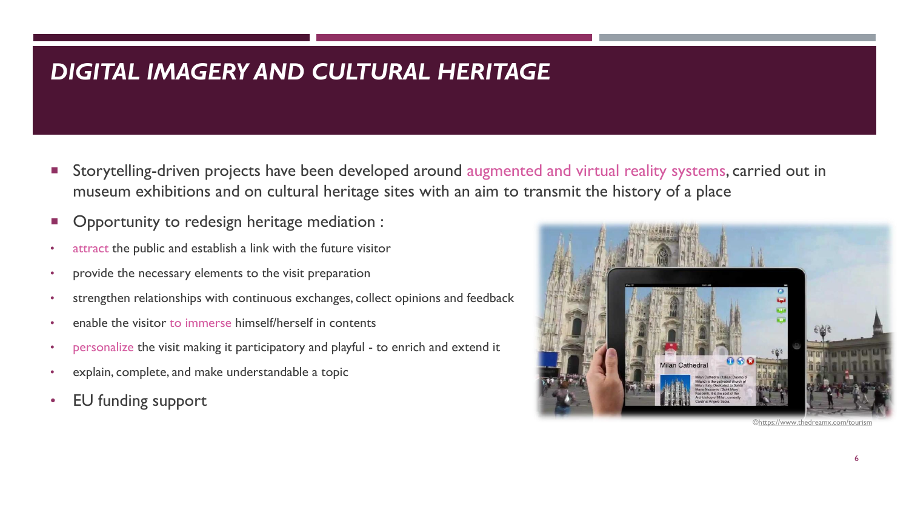#### *DIGITAL IMAGERY AND CULTURAL HERITAGE*

- Storytelling-driven projects have been developed around augmented and virtual reality systems, carried out in museum exhibitions and on cultural heritage sites with an aim to transmit the history of a place
- Opportunity to redesign heritage mediation :
- attract the public and establish a link with the future visitor
- provide the necessary elements to the visit preparation
- strengthen relationships with continuous exchanges, collect opinions and feedback
- enable the visitor to immerse himself/herself in contents
- personalize the visit making it participatory and playful to enrich and extend it
- explain, complete, and make understandable a topic
- EU funding support

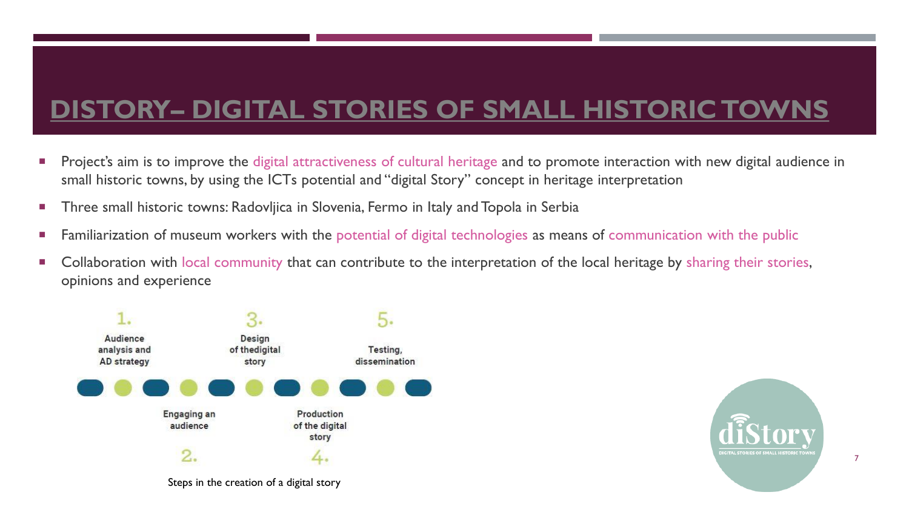## **DISTORY– [DIGITAL STORIES OF SMALL HISTORIC TOWNS](http://www.distory.si/)**

- **Project's aim is to improve the digital attractiveness of cultural heritage and to promote interaction with new digital audience in** small historic towns, by using the ICTs potential and "digital Story" concept in heritage interpretation
- **Three small historic towns: Radovljica in Slovenia, Fermo in Italy and Topola in Serbia**
- **Familiarization of museum workers with the potential of digital technologies as means of communication with the public**
- **Collaboration with local community that can contribute to the interpretation of the local heritage by sharing their stories,** opinions and experience





7

Steps in the creation of a digital story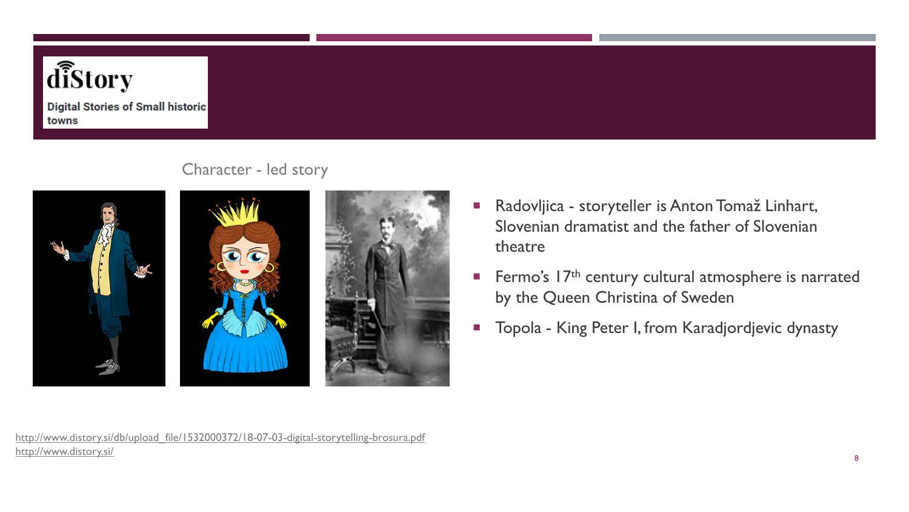

**Digital Stories of Small historic** towns



#### Character - led story



- Radovljica storyteller is Anton Tomaž Linhart, Slovenian dramatist and the father of Slovenian theatre
- **Fermo's 17th century cultural atmosphere is narrated** by the Queen Christina of Sweden
- **Topola King Peter I, from Karadjordjevic dynasty**

[http://www.distory.si/db/upload\\_file/1532000372/18-07-03-digital-storytelling-brosura.pdf](http://www.distory.si/db/upload_file/1532000372/18-07-03-digital-storytelling-brosura.pdf) <http://www.distory.si/>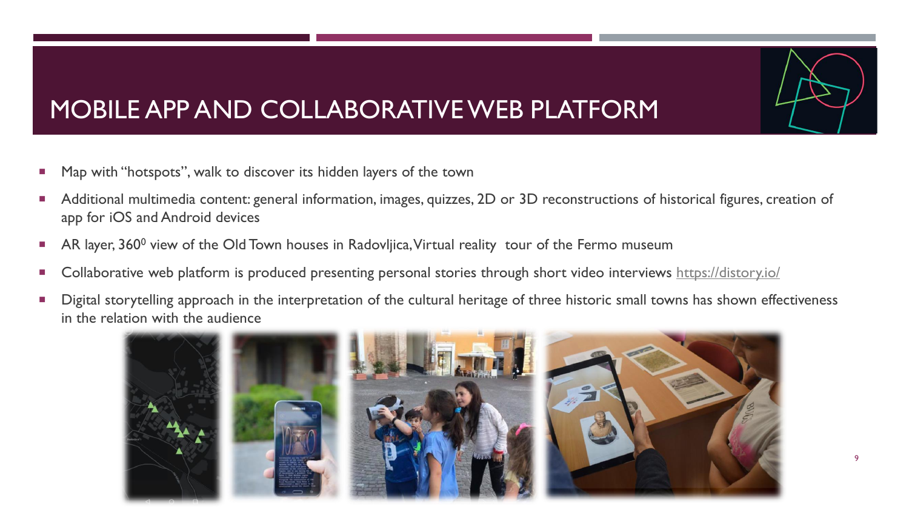### MOBILE APP AND COLLABORATIVE WEB PLATFORM

- **Map with "hotspots", walk to discover its hidden layers of the town**
- Additional multimedia content: general information, images, quizzes, 2D or 3D reconstructions of historical figures, creation of app for iOS and Android devices
- AR layer,  $360^{\circ}$  view of the Old Town houses in Radovljica, Virtual reality tour of the Fermo museum
- Collaborative web platform is produced presenting personal stories through short video interviews<https://distory.io/>
- **Digital storytelling approach in the interpretation of the cultural heritage of three historic small towns has shown effectiveness** in the relation with the audience